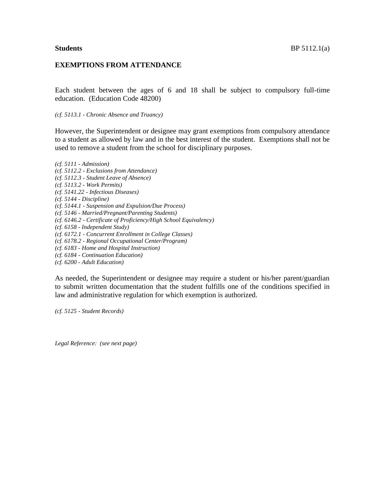## **EXEMPTIONS FROM ATTENDANCE**

Each student between the ages of 6 and 18 shall be subject to compulsory full-time education. (Education Code 48200)

*(cf. 5113.1 - Chronic Absence and Truancy)*

However, the Superintendent or designee may grant exemptions from compulsory attendance to a student as allowed by law and in the best interest of the student. Exemptions shall not be used to remove a student from the school for disciplinary purposes.

*(cf. 5111 - Admission) (cf. 5112.2 - Exclusions from Attendance) (cf. 5112.3 - Student Leave of Absence) (cf. 5113.2 - Work Permits) (cf. 5141.22 - Infectious Diseases) (cf. 5144 - Discipline) (cf. 5144.1 - Suspension and Expulsion/Due Process) (cf. 5146 - Married/Pregnant/Parenting Students) (cf. 6146.2 - Certificate of Proficiency/High School Equivalency) (cf. 6158 - Independent Study) (cf. 6172.1 - Concurrent Enrollment in College Classes) (cf. 6178.2 - Regional Occupational Center/Program) (cf. 6183 - Home and Hospital Instruction) (cf. 6184 - Continuation Education)*

*(cf. 6200 - Adult Education)*

As needed, the Superintendent or designee may require a student or his/her parent/guardian to submit written documentation that the student fulfills one of the conditions specified in law and administrative regulation for which exemption is authorized.

*(cf. 5125 - Student Records)*

*Legal Reference: (see next page)*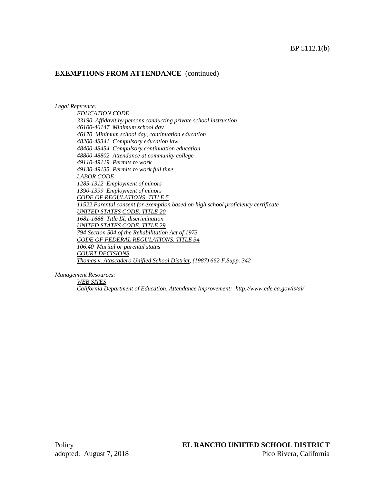# **EXEMPTIONS FROM ATTENDANCE** (continued)

*Legal Reference:*

*EDUCATION CODE 33190 Affidavit by persons conducting private school instruction 46100-46147 Minimum school day 46170 Minimum school day, continuation education 48200-48341 Compulsory education law 48400-48454 Compulsory continuation education 48800-48802 Attendance at community college 49110-49119 Permits to work 49130-49135 Permits to work full time LABOR CODE 1285-1312 Employment of minors 1390-1399 Employment of minors CODE OF REGULATIONS, TITLE 5 11522 Parental consent for exemption based on high school proficiency certificate UNITED STATES CODE, TITLE 20 1681-1688 Title IX, discrimination UNITED STATES CODE, TITLE 29 794 Section 504 of the Rehabilitation Act of 1973 CODE OF FEDERAL REGULATIONS, TITLE 34 106.40 Marital or parental status COURT DECISIONS Thomas v. Atascadero Unified School District, (1987) 662 F.Supp. 342*

*Management Resources:*

*WEB SITES*

*California Department of Education, Attendance Improvement: http://www.cde.ca.gov/ls/ai/*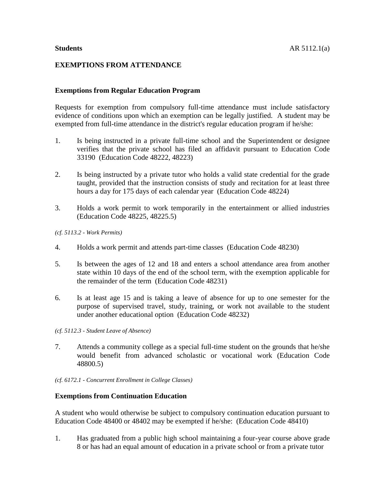## **EXEMPTIONS FROM ATTENDANCE**

### **Exemptions from Regular Education Program**

Requests for exemption from compulsory full-time attendance must include satisfactory evidence of conditions upon which an exemption can be legally justified. A student may be exempted from full-time attendance in the district's regular education program if he/she:

- 1. Is being instructed in a private full-time school and the Superintendent or designee verifies that the private school has filed an affidavit pursuant to Education Code 33190 (Education Code 48222, 48223)
- 2. Is being instructed by a private tutor who holds a valid state credential for the grade taught, provided that the instruction consists of study and recitation for at least three hours a day for 175 days of each calendar year (Education Code 48224)
- 3. Holds a work permit to work temporarily in the entertainment or allied industries (Education Code 48225, 48225.5)
- *(cf. 5113.2 - Work Permits)*
- 4. Holds a work permit and attends part-time classes (Education Code 48230)
- 5. Is between the ages of 12 and 18 and enters a school attendance area from another state within 10 days of the end of the school term, with the exemption applicable for the remainder of the term (Education Code 48231)
- 6. Is at least age 15 and is taking a leave of absence for up to one semester for the purpose of supervised travel, study, training, or work not available to the student under another educational option (Education Code 48232)
- *(cf. 5112.3 - Student Leave of Absence)*
- 7. Attends a community college as a special full-time student on the grounds that he/she would benefit from advanced scholastic or vocational work (Education Code 48800.5)
- *(cf. 6172.1 - Concurrent Enrollment in College Classes)*

#### **Exemptions from Continuation Education**

A student who would otherwise be subject to compulsory continuation education pursuant to Education Code 48400 or 48402 may be exempted if he/she: (Education Code 48410)

1. Has graduated from a public high school maintaining a four-year course above grade 8 or has had an equal amount of education in a private school or from a private tutor